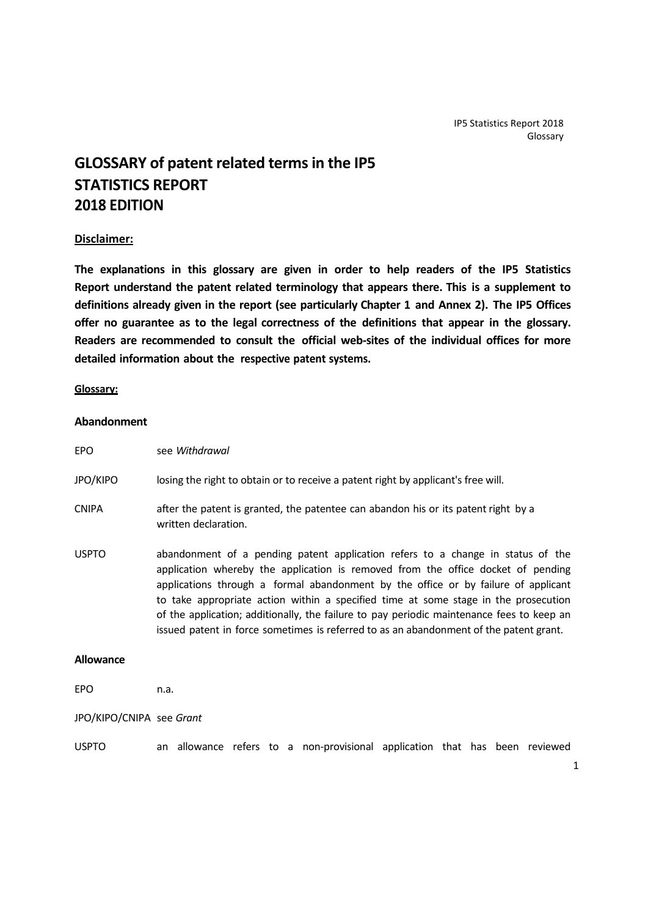# **GLOSSARY of patent related termsin the IP5 STATISTICS REPORT 2018 EDITION**

# **Disclaimer:**

**The explanations in this glossary are given in order to help readers of the IP5 Statistics Report understand the patent related terminology that appears there. This is a supplement to definitions already given in the report (see particularly Chapter 1 and Annex 2). The IP5 Offices offer no guarantee as to the legal correctness of the definitions that appear in the glossary. Readers are recommended to consult the official web‐sites of the individual offices for more detailed information about the respective patent systems.**

#### **Glossary:**

# **Abandonment**

| <b>EPO</b>      | see Withdrawal                                                                                                                                                                                                                                                                                                                                                                                                                                                                                                                          |
|-----------------|-----------------------------------------------------------------------------------------------------------------------------------------------------------------------------------------------------------------------------------------------------------------------------------------------------------------------------------------------------------------------------------------------------------------------------------------------------------------------------------------------------------------------------------------|
| <b>JPO/KIPO</b> | losing the right to obtain or to receive a patent right by applicant's free will.                                                                                                                                                                                                                                                                                                                                                                                                                                                       |
| <b>CNIPA</b>    | after the patent is granted, the patentee can abandon his or its patent right by a<br>written declaration.                                                                                                                                                                                                                                                                                                                                                                                                                              |
| <b>USPTO</b>    | abandonment of a pending patent application refers to a change in status of the<br>application whereby the application is removed from the office docket of pending<br>applications through a formal abandonment by the office or by failure of applicant<br>to take appropriate action within a specified time at some stage in the prosecution<br>of the application; additionally, the failure to pay periodic maintenance fees to keep an<br>issued patent in force sometimes is referred to as an abandonment of the patent grant. |

#### **Allowance**

EPO n.a.

JPO/KIPO/CNIPA see *Grant*

USPTO an allowance refers to a non‐provisional application that has been reviewed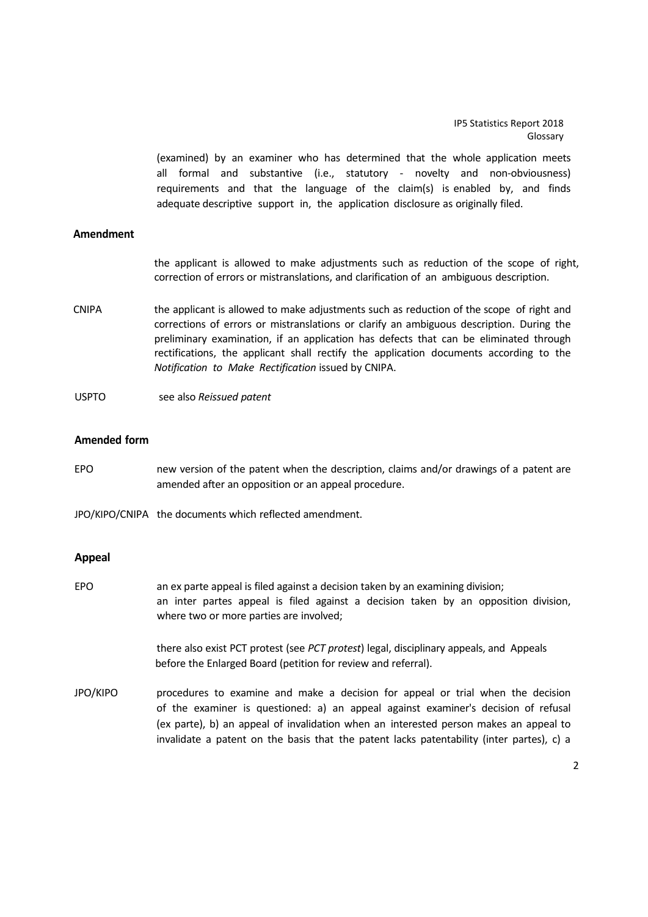(examined) by an examiner who has determined that the whole application meets all formal and substantive (i.e., statutory - novelty and non-obviousness) requirements and that the language of the  $claim(s)$  is enabled by, and finds adequate descriptive support in, the application disclosure as originally filed.

# **Amendment**

the applicant is allowed to make adjustments such as reduction of the scope of right, correction of errors or mistranslations, and clarification of an ambiguous description.

CNIPA the applicant is allowed to make adjustments such as reduction of the scope of right and corrections of errors or mistranslations or clarify an ambiguous description. During the preliminary examination, if an application has defects that can be eliminated through rectifications, the applicant shall rectify the application documents according to the *Notification to Make Rectification* issued by CNIPA.

USPTO see also *Reissued patent*

#### **Amended form**

EPO new version of the patent when the description, claims and/or drawings of a patent are amended after an opposition or an appeal procedure.

JPO/KIPO/CNIPA the documents which reflected amendment.

## **Appeal**

EPO an ex parte appeal is filed against a decision taken by an examining division; an inter partes appeal is filed against a decision taken by an opposition division, where two or more parties are involved;

> there also exist PCT protest (see *PCT protest*) legal, disciplinary appeals, and Appeals before the Enlarged Board (petition for review and referral).

JPO/KIPO procedures to examine and make a decision for appeal or trial when the decision of the examiner is questioned: a) an appeal against examiner's decision of refusal (ex parte), b) an appeal of invalidation when an interested person makes an appeal to invalidate a patent on the basis that the patent lacks patentability (inter partes), c) a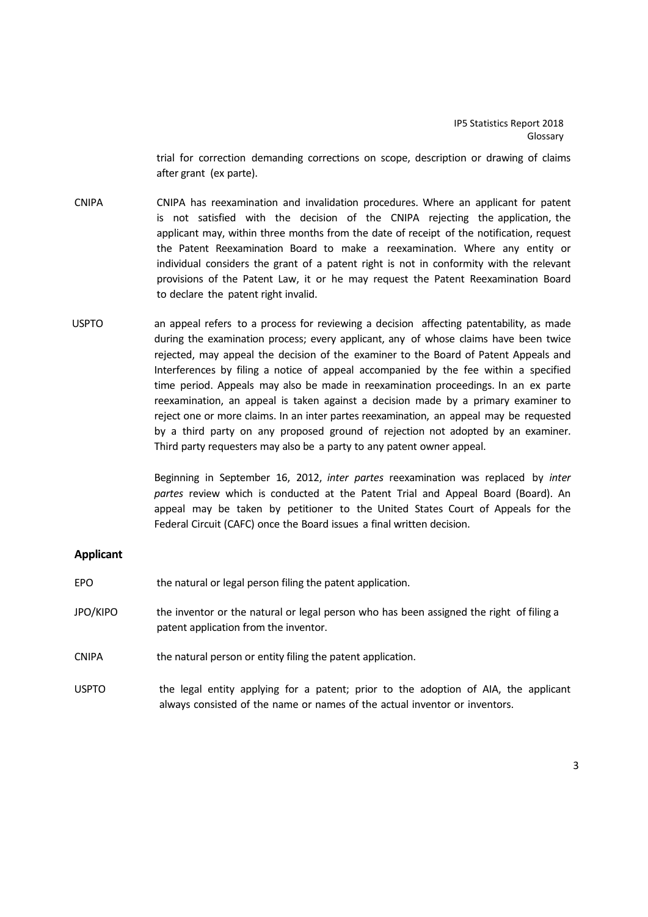trial for correction demanding corrections on scope, description or drawing of claims after grant (ex parte).

- CNIPA CNIPA has reexamination and invalidation procedures. Where an applicant for patent is not satisfied with the decision of the CNIPA rejecting the application, the applicant may, within three months from the date of receipt of the notification, request the Patent Reexamination Board to make a reexamination. Where any entity or individual considers the grant of a patent right is not in conformity with the relevant provisions of the Patent Law, it or he may request the Patent Reexamination Board to declare the patent right invalid.
- USPTO an appeal refers to a process for reviewing a decision affecting patentability, as made during the examination process; every applicant, any of whose claims have been twice rejected, may appeal the decision of the examiner to the Board of Patent Appeals and Interferences by filing a notice of appeal accompanied by the fee within a specified time period. Appeals may also be made in reexamination proceedings. In an ex parte reexamination, an appeal is taken against a decision made by a primary examiner to reject one or more claims. In an inter partes reexamination, an appeal may be requested by a third party on any proposed ground of rejection not adopted by an examiner. Third party requesters may also be a party to any patent owner appeal.

Beginning in September 16, 2012, *inter partes* reexamination was replaced by *inter partes* review which is conducted at the Patent Trial and Appeal Board (Board). An appeal may be taken by petitioner to the United States Court of Appeals for the Federal Circuit (CAFC) once the Board issues a final written decision.

# **Applicant**

| EPO          | the natural or legal person filing the patent application.                                                                       |
|--------------|----------------------------------------------------------------------------------------------------------------------------------|
| JPO/KIPO     | the inventor or the natural or legal person who has been assigned the right of filing a<br>patent application from the inventor. |
| <b>CNIPA</b> | the natural person or entity filing the patent application.                                                                      |
| USPTO        | the legal entity applying for a patent; prior to the adoption of AIA, the applicant                                              |

always consisted of the name or names of the actual inventor or inventors.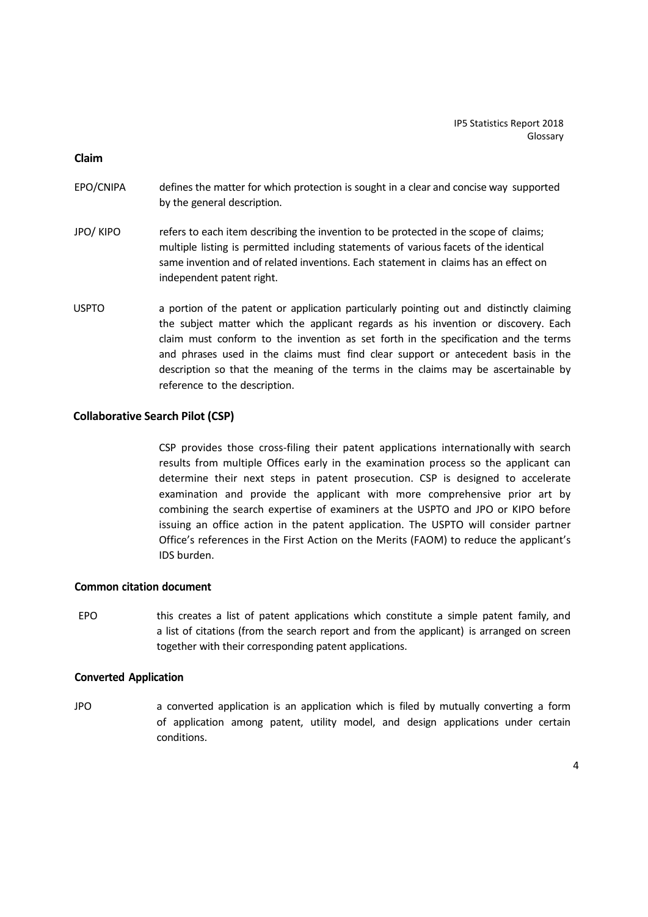**Claim**

- EPO/CNIPA defines the matter for which protection is sought in a clear and concise way supported by the general description.
- JPO/ KIPO refers to each item describing the invention to be protected in the scope of claims; multiple listing is permitted including statements of various facets of the identical same invention and of related inventions. Each statement in claims has an effect on independent patent right.
- USPTO a portion of the patent or application particularly pointing out and distinctly claiming the subject matter which the applicant regards as his invention or discovery. Each claim must conform to the invention as set forth in the specification and the terms and phrases used in the claims must find clear support or antecedent basis in the description so that the meaning of the terms in the claims may be ascertainable by reference to the description.

# **Collaborative Search Pilot (CSP)**

CSP provides those cross‐filing their patent applications internationally with search results from multiple Offices early in the examination process so the applicant can determine their next steps in patent prosecution. CSP is designed to accelerate examination and provide the applicant with more comprehensive prior art by combining the search expertise of examiners at the USPTO and JPO or KIPO before issuing an office action in the patent application. The USPTO will consider partner Office's references in the First Action on the Merits (FAOM) to reduce the applicant's IDS burden.

## **Common citation document**

EPO this creates a list of patent applications which constitute a simple patent family, and a list of citations (from the search report and from the applicant) is arranged on screen together with their corresponding patent applications.

#### **Converted Application**

JPO a converted application is an application which is filed by mutually converting a form of application among patent, utility model, and design applications under certain conditions.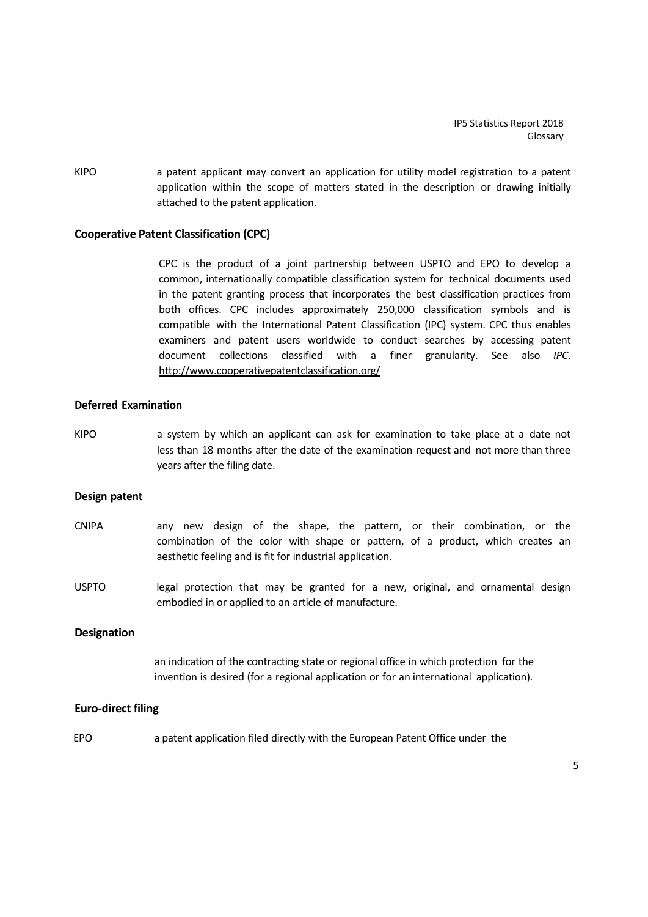KIPO **a** patent applicant may convert an application for utility model registration to a patent application within the scope of matters stated in the description or drawing initially attached to the patent application.

# **Cooperative Patent Classification (CPC)**

CPC is the product of a joint partnership between USPTO and EPO to develop a common, internationally compatible classification system for technical documents used in the patent granting process that incorporates the best classification practices from both offices. CPC includes approximately 250,000 classification symbols and is compatible with the International Patent Classification (IPC) system. CPC thus enables examiners and patent users worldwide to conduct searches by accessing patent document collections classified with a finer granularity. See also *IPC*. http://www.cooperativepatentclassification.org/

# **Deferred Examination**

KIPO a system by which an applicant can ask for examination to take place at a date not less than 18 months after the date of the examination request and not more than three years after the filing date.

#### **Design patent**

- CNIPA any new design of the shape, the pattern, or their combination, or the combination of the color with shape or pattern, of a product, which creates an aesthetic feeling and is fit for industrial application.
- USPTO legal protection that may be granted for a new, original, and ornamental design embodied in or applied to an article of manufacture.

#### **Designation**

an indication of the contracting state or regional office in which protection for the invention is desired (for a regional application or for an international application).

#### **Euro‐direct filing**

EPO a patent application filed directly with the European Patent Office under the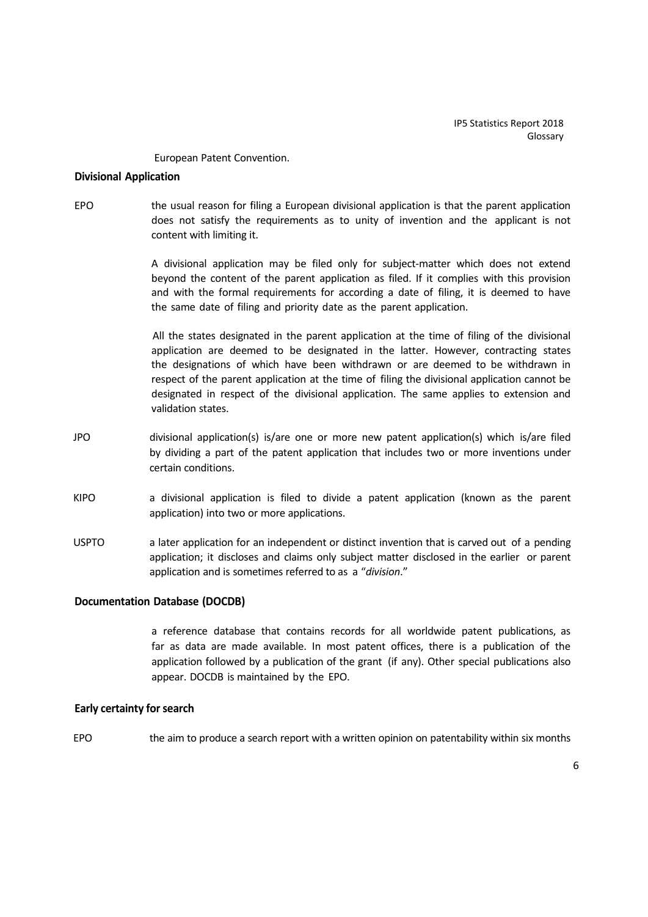European Patent Convention.

## **Divisional Application**

EPO the usual reason for filing a European divisional application is that the parent application does not satisfy the requirements as to unity of invention and the applicant is not content with limiting it.

> A divisional application may be filed only for subject-matter which does not extend beyond the content of the parent application as filed. If it complies with this provision and with the formal requirements for according a date of filing, it is deemed to have the same date of filing and priority date as the parent application.

> All the states designated in the parent application at the time of filing of the divisional application are deemed to be designated in the latter. However, contracting states the designations of which have been withdrawn or are deemed to be withdrawn in respect of the parent application at the time of filing the divisional application cannot be designated in respect of the divisional application. The same applies to extension and validation states.

- JPO divisional application(s) is/are one or more new patent application(s) which is/are filed by dividing a part of the patent application that includes two or more inventions under certain conditions.
- KIPO a divisional application is filed to divide a patent application (known as the parent application) into two or more applications.
- USPTO a later application for an independent or distinct invention that is carved out of a pending application; it discloses and claims only subject matter disclosed in the earlier or parent application and is sometimes referred to as a "*division*."

## **Documentation Database (DOCDB)**

a reference database that contains records for all worldwide patent publications, as far as data are made available. In most patent offices, there is a publication of the application followed by a publication of the grant (if any). Other special publications also appear. DOCDB is maintained by the EPO.

## **Early certainty for search**

EPO the aim to produce a search report with a written opinion on patentability within six months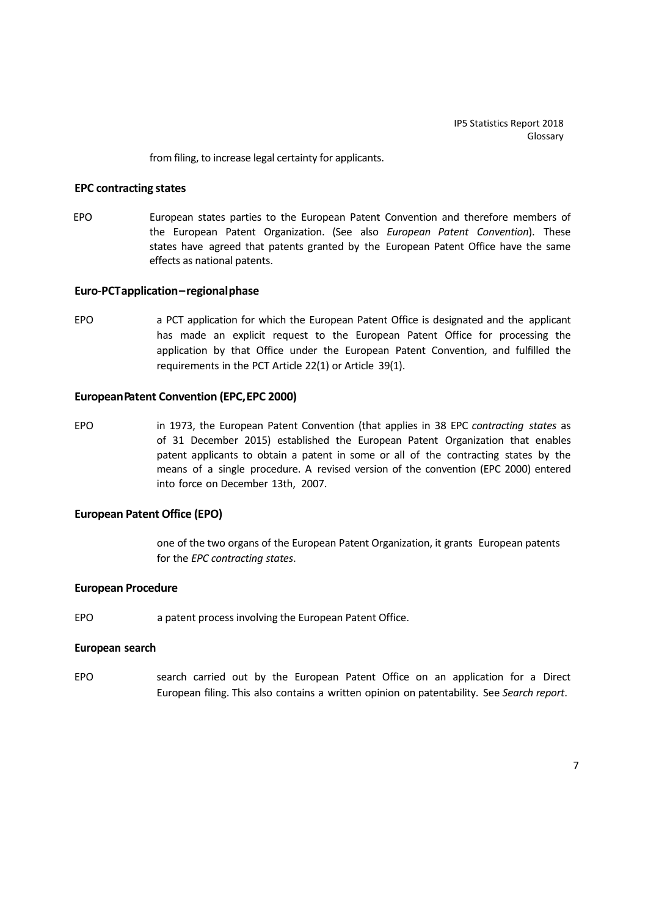from filing, to increase legal certainty for applicants.

## **EPC contracting states**

EPO European states parties to the European Patent Convention and therefore members of the European Patent Organization. (See also *European Patent Convention*). These states have agreed that patents granted by the European Patent Office have the same effects as national patents.

#### **Euro‐PCTapplication–regionalphase**

EPO a PCT application for which the European Patent Office is designated and the applicant has made an explicit request to the European Patent Office for processing the application by that Office under the European Patent Convention, and fulfilled the requirements in the PCT Article 22(1) or Article 39(1).

#### **EuropeanPatent Convention (EPC,EPC 2000)**

EPO in 1973, the European Patent Convention (that applies in 38 EPC *contracting states* as of 31 December 2015) established the European Patent Organization that enables patent applicants to obtain a patent in some or all of the contracting states by the means of a single procedure. A revised version of the convention (EPC 2000) entered into force on December 13th, 2007.

#### **European Patent Office (EPO)**

one of the two organs of the European Patent Organization, it grants European patents for the *EPC contracting states*.

#### **European Procedure**

EPO a patent process involving the European Patent Office.

#### **European search**

EPO search carried out by the European Patent Office on an application for a Direct European filing. This also contains a written opinion on patentability. See *Search report*.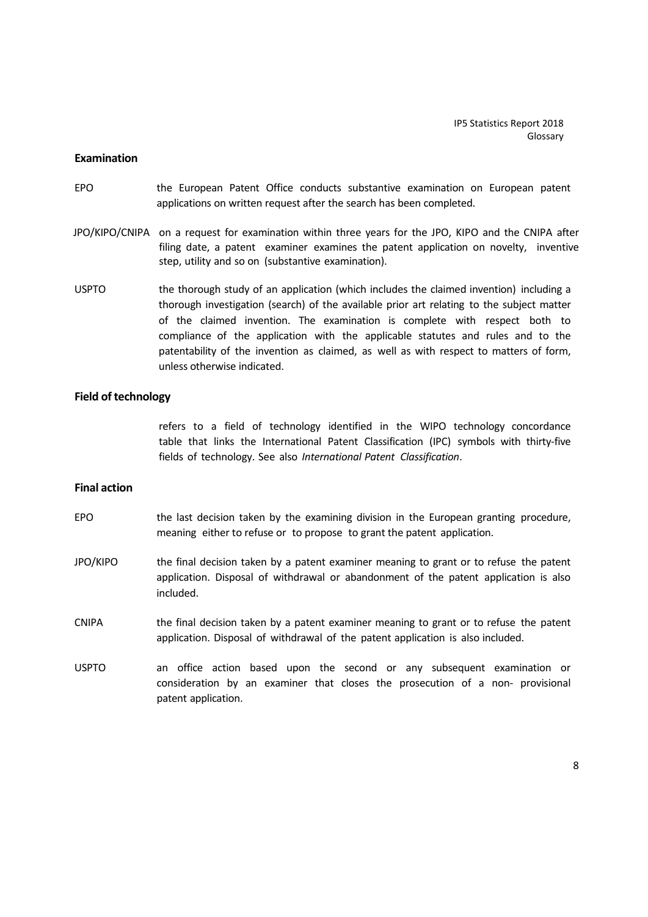#### **Examination**

- EPO the European Patent Office conducts substantive examination on European patent applications on written request after the search has been completed.
- JPO/KIPO/CNIPA on a request for examination within three years for the JPO, KIPO and the CNIPA after filing date, a patent examiner examines the patent application on novelty, inventive step, utility and so on (substantive examination).
- USPTO the thorough study of an application (which includes the claimed invention) including a thorough investigation (search) of the available prior art relating to the subject matter of the claimed invention. The examination is complete with respect both to compliance of the application with the applicable statutes and rules and to the patentability of the invention as claimed, as well as with respect to matters of form, unless otherwise indicated.

#### **Field of technology**

refers to a field of technology identified in the WIPO technology concordance table that links the International Patent Classification (IPC) symbols with thirty-five fields of technology. See also *International Patent Classification*.

#### **Final action**

- EPO the last decision taken by the examining division in the European granting procedure, meaning either to refuse or to propose to grant the patent application.
- JPO/KIPO the final decision taken by a patent examiner meaning to grant or to refuse the patent application. Disposal of withdrawal or abandonment of the patent application is also included.
- CNIPA the final decision taken by a patent examiner meaning to grant or to refuse the patent application. Disposal of withdrawal of the patent application is also included.
- USPTO an office action based upon the second or any subsequent examination or consideration by an examiner that closes the prosecution of a non‐ provisional patent application.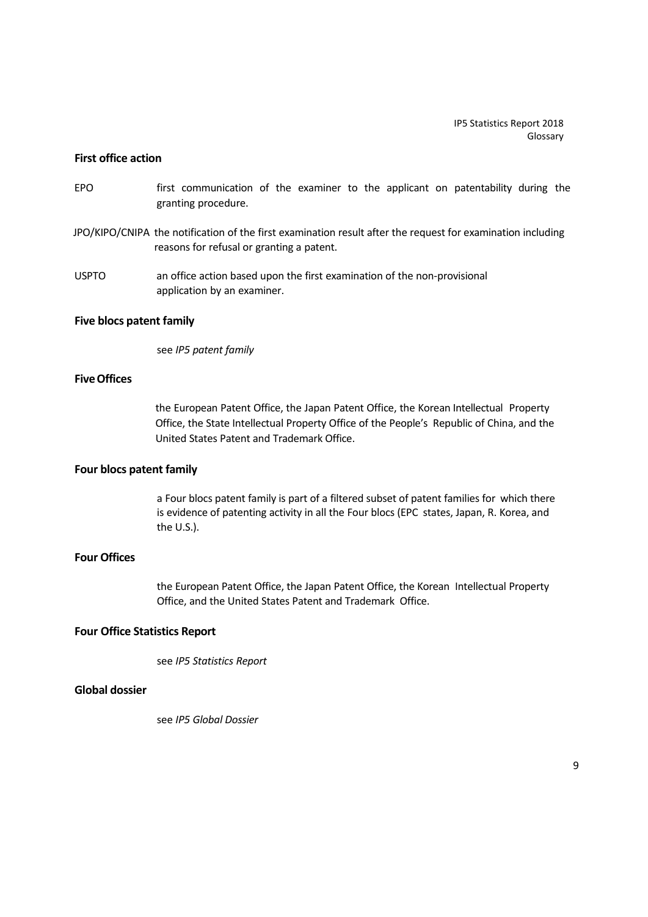## **First office action**

- EPO first communication of the examiner to the applicant on patentability during the granting procedure.
- JPO/KIPO/CNIPA the notification of the first examination result after the request for examination including reasons for refusal or granting a patent.
- USPTO an office action based upon the first examination of the non‐provisional application by an examiner.

#### **Five blocs patent family**

see *IP5 patent family*

# **Five Offices**

the European Patent Office, the Japan Patent Office, the Korean Intellectual Property Office, the State Intellectual Property Office of the People's Republic of China, and the United States Patent and Trademark Office.

# **Four blocs patent family**

a Four blocs patent family is part of a filtered subset of patent families for which there is evidence of patenting activity in all the Four blocs (EPC states, Japan, R. Korea, and the U.S.).

# **Four Offices**

the European Patent Office, the Japan Patent Office, the Korean Intellectual Property Office, and the United States Patent and Trademark Office.

# **Four Office Statistics Report**

see *IP5 Statistics Report*

# **Global dossier**

see *IP5 Global Dossier*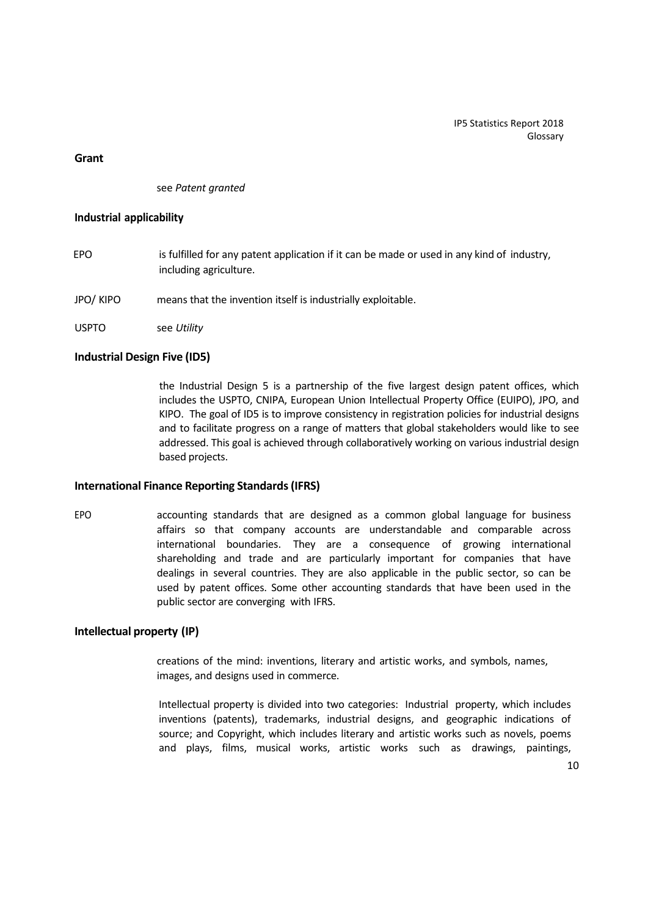## **Grant**

see *Patent granted*

## **Industrial applicability**

- EPO is fulfilled for any patent application if it can be made or used in any kind of industry, including agriculture.
- JPO/ KIPO means that the invention itself is industrially exploitable.
- USPTO see *Utility*

# **Industrial Design Five (ID5)**

the Industrial Design 5 is a partnership of the five largest design patent offices, which includes the USPTO, CNIPA, European Union Intellectual Property Office (EUIPO), JPO, and KIPO. The goal of ID5 is to improve consistency in registration policies for industrial designs and to facilitate progress on a range of matters that global stakeholders would like to see addressed. This goal is achieved through collaboratively working on various industrial design based projects.

## **International Finance Reporting Standards(IFRS)**

EPO accounting standards that are designed as a common global language for business affairs so that company accounts are understandable and comparable across international boundaries. They are a consequence of growing international shareholding and trade and are particularly important for companies that have dealings in several countries. They are also applicable in the public sector, so can be used by patent offices. Some other accounting standards that have been used in the public sector are converging with IFRS.

# **Intellectual property (IP)**

creations of the mind: inventions, literary and artistic works, and symbols, names, images, and designs used in commerce.

Intellectual property is divided into two categories: Industrial property, which includes inventions (patents), trademarks, industrial designs, and geographic indications of source; and Copyright, which includes literary and artistic works such as novels, poems and plays, films, musical works, artistic works such as drawings, paintings,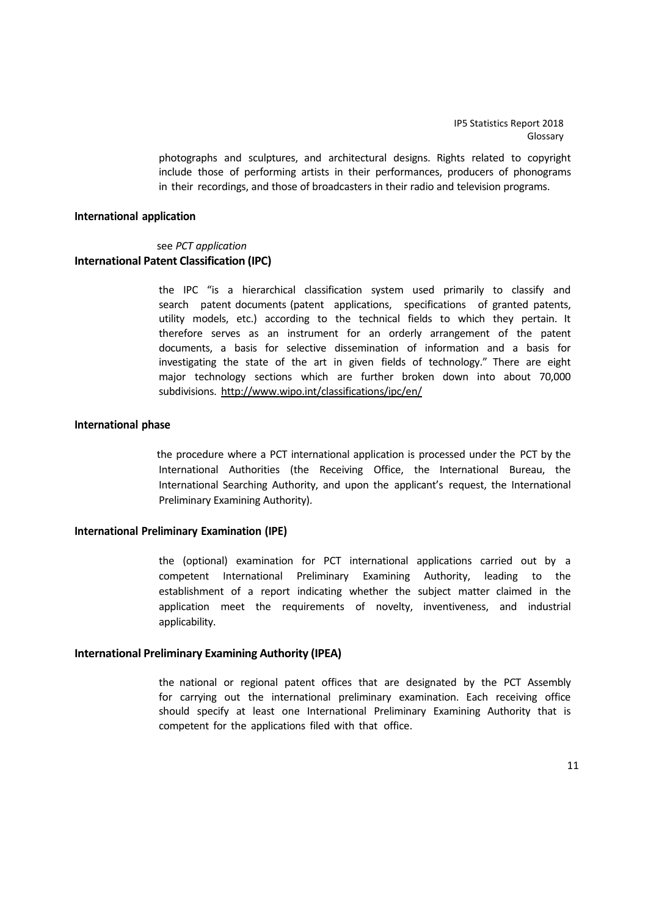> photographs and sculptures, and architectural designs. Rights related to copyright include those of performing artists in their performances, producers of phonograms in their recordings, and those of broadcasters in their radio and television programs.

#### **International application**

# see *PCT application* **International Patent Classification (IPC)**

the IPC "is a hierarchical classification system used primarily to classify and search patent documents (patent applications, specifications of granted patents, utility models, etc.) according to the technical fields to which they pertain. It therefore serves as an instrument for an orderly arrangement of the patent documents, a basis for selective dissemination of information and a basis for investigating the state of the art in given fields of technology." There are eight major technology sections which are further broken down into about 70,000 subdivisions. http://www.wipo.int/classifications/ipc/en/

#### **International phase**

the procedure where a PCT international application is processed under the PCT by the International Authorities (the Receiving Office, the International Bureau, the International Searching Authority, and upon the applicant's request, the International Preliminary Examining Authority).

#### **International Preliminary Examination (IPE)**

the (optional) examination for PCT international applications carried out by a competent International Preliminary Examining Authority, leading to the establishment of a report indicating whether the subject matter claimed in the application meet the requirements of novelty, inventiveness, and industrial applicability.

#### **International Preliminary Examining Authority (IPEA)**

the national or regional patent offices that are designated by the PCT Assembly for carrying out the international preliminary examination. Each receiving office should specify at least one International Preliminary Examining Authority that is competent for the applications filed with that office.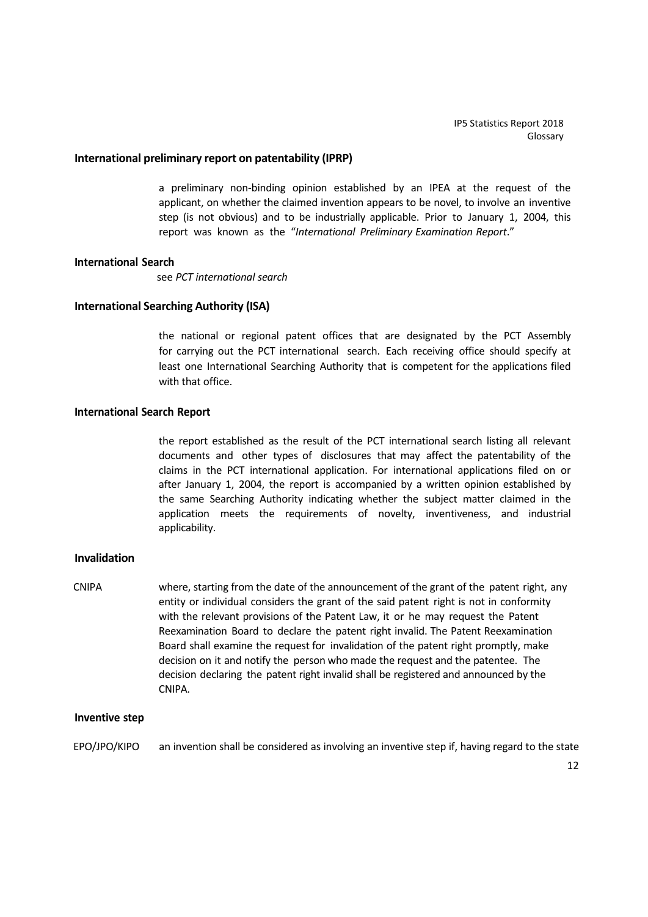#### **International preliminary report on patentability (IPRP)**

a preliminary non‐binding opinion established by an IPEA at the request of the applicant, on whether the claimed invention appears to be novel, to involve an inventive step (is not obvious) and to be industrially applicable. Prior to January 1, 2004, this report was known as the "*International Preliminary Examination Report*."

#### **International Search**

see *PCT international search*

## **International Searching Authority (ISA)**

the national or regional patent offices that are designated by the PCT Assembly for carrying out the PCT international search. Each receiving office should specify at least one International Searching Authority that is competent for the applications filed with that office.

#### **International Search Report**

the report established as the result of the PCT international search listing all relevant documents and other types of disclosures that may affect the patentability of the claims in the PCT international application. For international applications filed on or after January 1, 2004, the report is accompanied by a written opinion established by the same Searching Authority indicating whether the subject matter claimed in the application meets the requirements of novelty, inventiveness, and industrial applicability.

# **Invalidation**

CNIPA where, starting from the date of the announcement of the grant of the patent right, any entity or individual considers the grant of the said patent right is not in conformity with the relevant provisions of the Patent Law, it or he may request the Patent Reexamination Board to declare the patent right invalid. The Patent Reexamination Board shall examine the request for invalidation of the patent right promptly, make decision on it and notify the person who made the request and the patentee. The decision declaring the patent right invalid shall be registered and announced by the CNIPA.

#### **Inventive step**

EPO/JPO/KIPO an invention shall be considered as involving an inventive step if, having regard to the state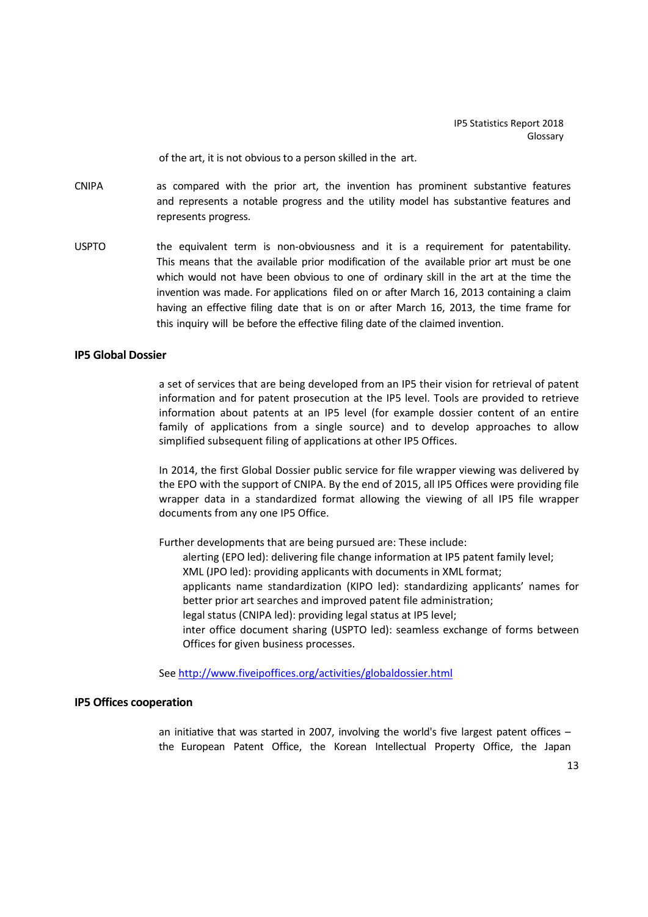of the art, it is not obvious to a person skilled in the art.

- CNIPA as compared with the prior art, the invention has prominent substantive features and represents a notable progress and the utility model has substantive features and represents progress.
- USPTO the equivalent term is non-obviousness and it is a requirement for patentability. This means that the available prior modification of the available prior art must be one which would not have been obvious to one of ordinary skill in the art at the time the invention was made. For applications filed on or after March 16, 2013 containing a claim having an effective filing date that is on or after March 16, 2013, the time frame for this inquiry will be before the effective filing date of the claimed invention.

# **IP5 Global Dossier**

a set of services that are being developed from an IP5 their vision for retrieval of patent information and for patent prosecution at the IP5 level. Tools are provided to retrieve information about patents at an IP5 level (for example dossier content of an entire family of applications from a single source) and to develop approaches to allow simplified subsequent filing of applications at other IP5 Offices.

In 2014, the first Global Dossier public service for file wrapper viewing was delivered by the EPO with the support of CNIPA. By the end of 2015, all IP5 Offices were providing file wrapper data in a standardized format allowing the viewing of all IP5 file wrapper documents from any one IP5 Office.

Further developments that are being pursued are: These include: alerting (EPO led): delivering file change information at IP5 patent family level; XML (JPO led): providing applicants with documents in XML format; applicants name standardization (KIPO led): standardizing applicants' names for better prior art searches and improved patent file administration; legal status (CNIPA led): providing legal status at IP5 level; inter office document sharing (USPTO led): seamless exchange of forms between Offices for given business processes.

See http://www.fiveipoffices.org/activities/globaldossier.html

#### **IP5 Offices cooperation**

an initiative that was started in 2007, involving the world's five largest patent offices – the European Patent Office, the Korean Intellectual Property Office, the Japan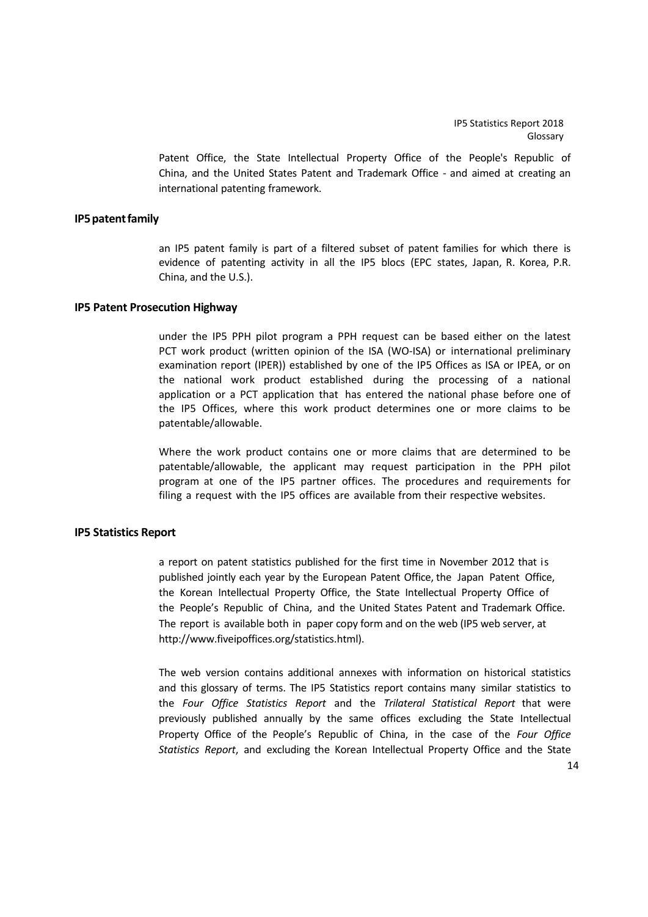Patent Office, the State Intellectual Property Office of the People's Republic of China, and the United States Patent and Trademark Office ‐ and aimed at creating an international patenting framework.

## **IP5patentfamily**

an IP5 patent family is part of a filtered subset of patent families for which there is evidence of patenting activity in all the IP5 blocs (EPC states, Japan, R. Korea, P.R. China, and the U.S.).

## **IP5 Patent Prosecution Highway**

under the IP5 PPH pilot program a PPH request can be based either on the latest PCT work product (written opinion of the ISA (WO-ISA) or international preliminary examination report (IPER)) established by one of the IP5 Offices as ISA or IPEA, or on the national work product established during the processing of a national application or a PCT application that has entered the national phase before one of the IP5 Offices, where this work product determines one or more claims to be patentable/allowable.

Where the work product contains one or more claims that are determined to be patentable/allowable, the applicant may request participation in the PPH pilot program at one of the IP5 partner offices. The procedures and requirements for filing a request with the IP5 offices are available from their respective websites.

## **IP5 Statistics Report**

a report on patent statistics published for the first time in November 2012 that is published jointly each year by the European Patent Office, the Japan Patent Office, the Korean Intellectual Property Office, the State Intellectual Property Office of the People's Republic of China, and the United States Patent and Trademark Office. The report is available both in paper copy form and on the web (IP5 web server, at http://www.fiveipoffices.org/statistics.html).

The web version contains additional annexes with information on historical statistics and this glossary of terms. The IP5 Statistics report contains many similar statistics to the *Four Office Statistics Report* and the *Trilateral Statistical Report* that were previously published annually by the same offices excluding the State Intellectual Property Office of the People's Republic of China, in the case of the *Four Office Statistics Report*, and excluding the Korean Intellectual Property Office and the State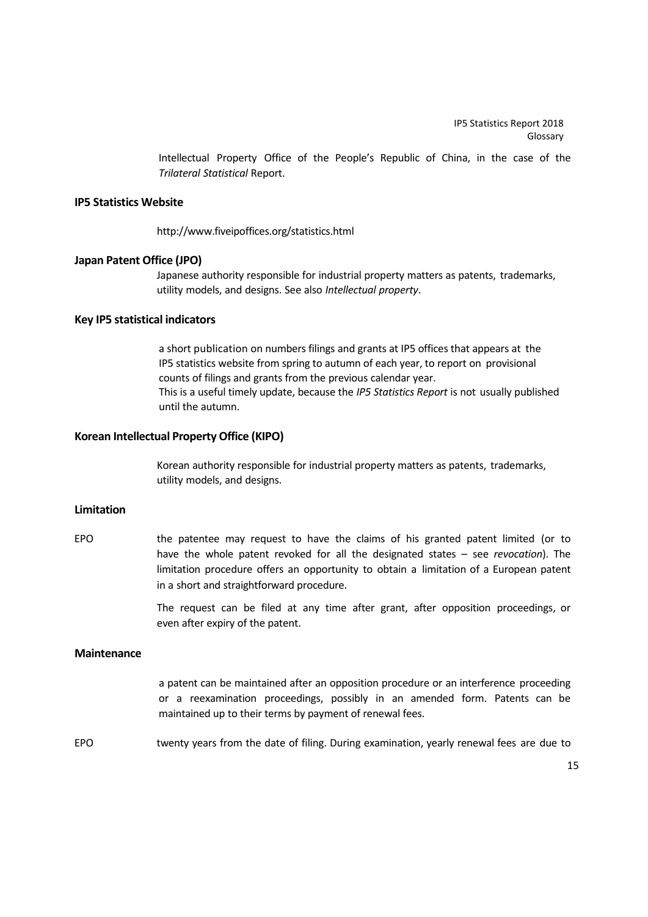Intellectual Property Office of the People's Republic of China, in the case of the *Trilateral Statistical* Report.

## **IP5 Statistics Website**

http://www.fiveipoffices.org/statistics.html

#### **Japan Patent Office (JPO)**

Japanese authority responsible for industrial property matters as patents, trademarks, utility models, and designs. See also *Intellectual property*.

#### **Key IP5 statistical indicators**

a short publication on numbers filings and grants at IP5 offices that appears at the IP5 statistics website from spring to autumn of each year, to report on provisional counts of filings and grants from the previous calendar year. This is a useful timely update, because the *IP5 Statistics Report* is not usually published until the autumn.

# **Korean Intellectual Property Office (KIPO)**

Korean authority responsible for industrial property matters as patents, trademarks, utility models, and designs.

# **Limitation**

EPO the patentee may request to have the claims of his granted patent limited (or to have the whole patent revoked for all the designated states – see *revocation*). The limitation procedure offers an opportunity to obtain a limitation of a European patent in a short and straightforward procedure.

> The request can be filed at any time after grant, after opposition proceedings, or even after expiry of the patent.

# **Maintenance**

a patent can be maintained after an opposition procedure or an interference proceeding or a reexamination proceedings, possibly in an amended form. Patents can be maintained up to their terms by payment of renewal fees.

EPO twenty years from the date of filing. During examination, yearly renewal fees are due to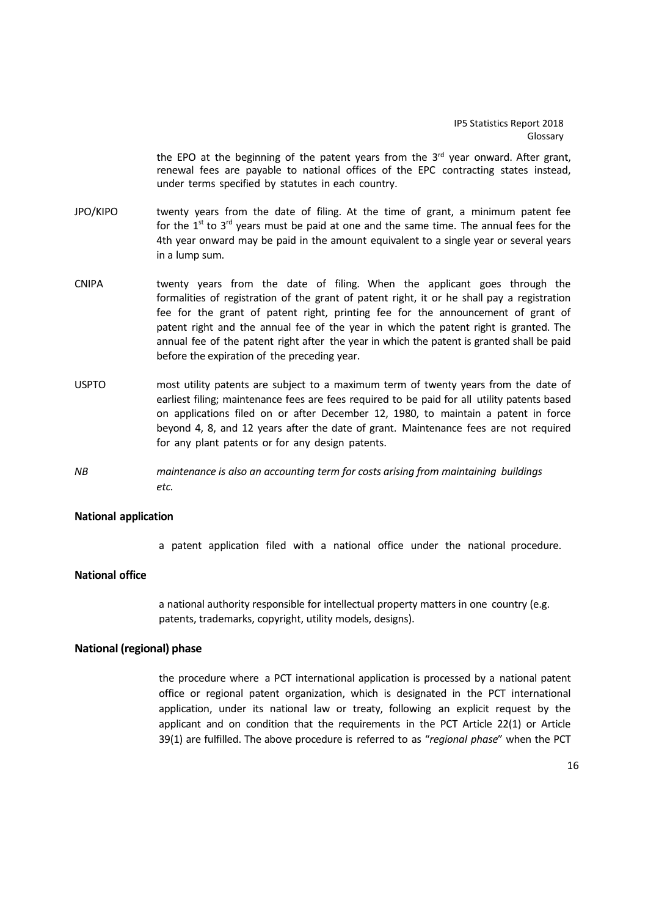the EPO at the beginning of the patent years from the  $3<sup>rd</sup>$  year onward. After grant, renewal fees are payable to national offices of the EPC contracting states instead, under terms specified by statutes in each country.

- JPO/KIPO twenty years from the date of filing. At the time of grant, a minimum patent fee for the  $1<sup>st</sup>$  to  $3<sup>rd</sup>$  years must be paid at one and the same time. The annual fees for the 4th year onward may be paid in the amount equivalent to a single year or several years in a lump sum.
- CNIPA twenty years from the date of filing. When the applicant goes through the formalities of registration of the grant of patent right, it or he shall pay a registration fee for the grant of patent right, printing fee for the announcement of grant of patent right and the annual fee of the year in which the patent right is granted. The annual fee of the patent right after the year in which the patent is granted shall be paid before the expiration of the preceding year.
- USPTO most utility patents are subject to a maximum term of twenty years from the date of earliest filing; maintenance fees are fees required to be paid for all utility patents based on applications filed on or after December 12, 1980, to maintain a patent in force beyond 4, 8, and 12 years after the date of grant. Maintenance fees are not required for any plant patents or for any design patents.
- *NB maintenance is also an accounting term for costs arising from maintaining buildings etc.*

## **National application**

a patent application filed with a national office under the national procedure.

#### **National office**

a national authority responsible for intellectual property matters in one country (e.g. patents, trademarks, copyright, utility models, designs).

# **National (regional) phase**

the procedure where a PCT international application is processed by a national patent office or regional patent organization, which is designated in the PCT international application, under its national law or treaty, following an explicit request by the applicant and on condition that the requirements in the PCT Article 22(1) or Article 39(1) are fulfilled. The above procedure is referred to as "*regional phase*" when the PCT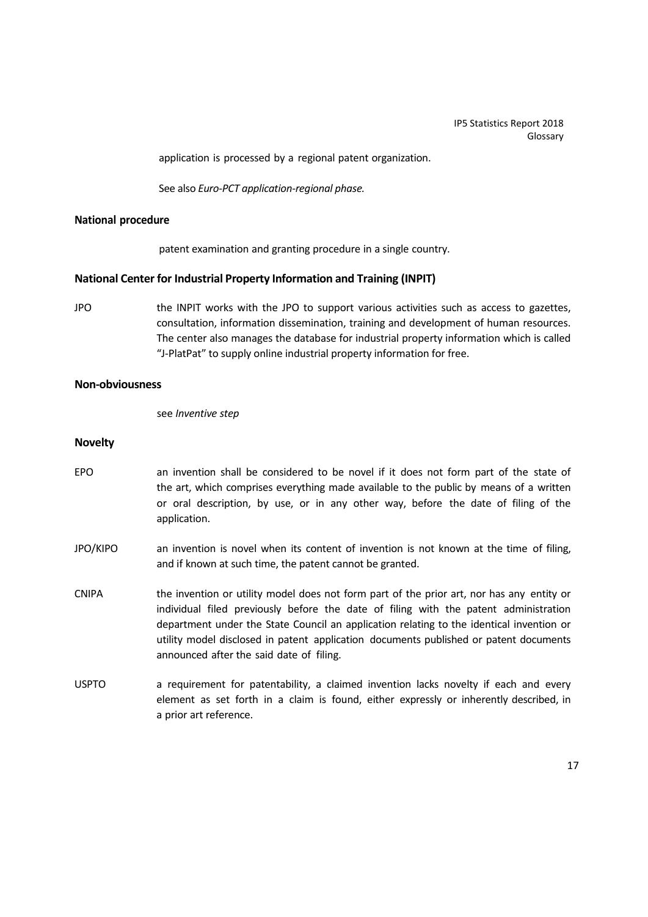application is processed by a regional patent organization.

See also *Euro‐PCT application‐regional phase.*

#### **National procedure**

patent examination and granting procedure in a single country.

## **National Center for Industrial Property Information and Training (INPIT)**

JPO the INPIT works with the JPO to support various activities such as access to gazettes, consultation, information dissemination, training and development of human resources. The center also manages the database for industrial property information which is called "J-PlatPat" to supply online industrial property information for free.

## **Non‐obviousness**

see *Inventive step*

## **Novelty**

- EPO an invention shall be considered to be novel if it does not form part of the state of the art, which comprises everything made available to the public by means of a written or oral description, by use, or in any other way, before the date of filing of the application.
- JPO/KIPO an invention is novel when its content of invention is not known at the time of filing, and if known at such time, the patent cannot be granted.
- CNIPA the invention or utility model does not form part of the prior art, nor has any entity or individual filed previously before the date of filing with the patent administration department under the State Council an application relating to the identical invention or utility model disclosed in patent application documents published or patent documents announced after the said date of filing.
- USPTO a requirement for patentability, a claimed invention lacks novelty if each and every element as set forth in a claim is found, either expressly or inherently described, in a prior art reference.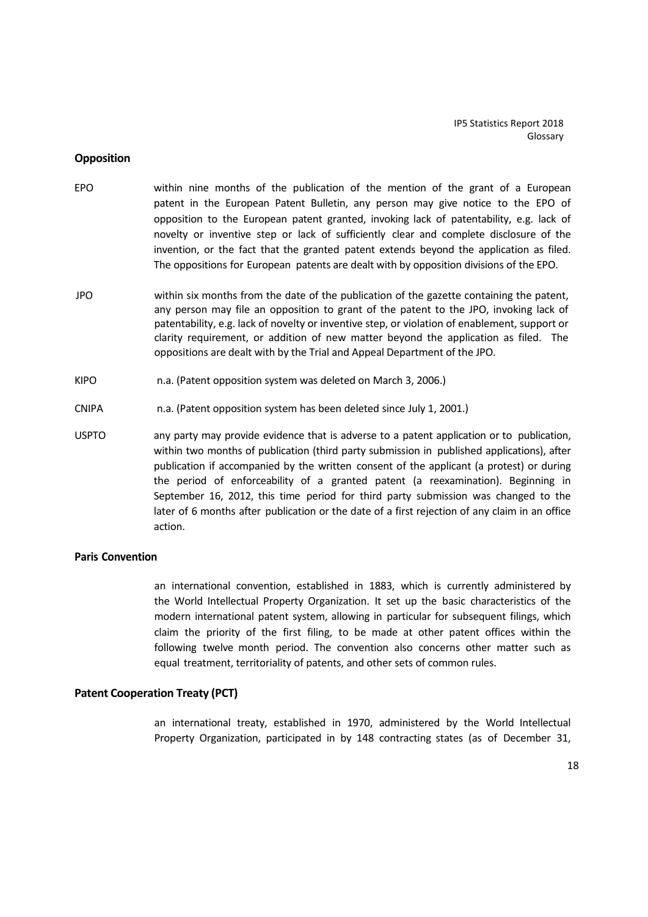#### **Opposition**

- EPO within nine months of the publication of the mention of the grant of a European patent in the European Patent Bulletin, any person may give notice to the EPO of opposition to the European patent granted, invoking lack of patentability, e.g. lack of novelty or inventive step or lack of sufficiently clear and complete disclosure of the invention, or the fact that the granted patent extends beyond the application as filed. The oppositions for European patents are dealt with by opposition divisions of the EPO.
- JPO within six months from the date of the publication of the gazette containing the patent, any person may file an opposition to grant of the patent to the JPO, invoking lack of patentability, e.g. lack of novelty or inventive step, or violation of enablement, support or clarity requirement, or addition of new matter beyond the application as filed. The oppositions are dealt with by the Trial and Appeal Department of the JPO.
- KIPO n.a. (Patent opposition system was deleted on March 3, 2006.)
- CNIPA n.a. (Patent opposition system has been deleted since July 1, 2001.)
- USPTO any party may provide evidence that is adverse to a patent application or to publication, within two months of publication (third party submission in published applications), after publication if accompanied by the written consent of the applicant (a protest) or during the period of enforceability of a granted patent (a reexamination). Beginning in September 16, 2012, this time period for third party submission was changed to the later of 6 months after publication or the date of a first rejection of any claim in an office action.

# **Paris Convention**

an international convention, established in 1883, which is currently administered by the World Intellectual Property Organization. It set up the basic characteristics of the modern international patent system, allowing in particular for subsequent filings, which claim the priority of the first filing, to be made at other patent offices within the following twelve month period. The convention also concerns other matter such as equal treatment, territoriality of patents, and other sets of common rules.

#### **Patent Cooperation Treaty (PCT)**

an international treaty, established in 1970, administered by the World Intellectual Property Organization, participated in by 148 contracting states (as of December 31,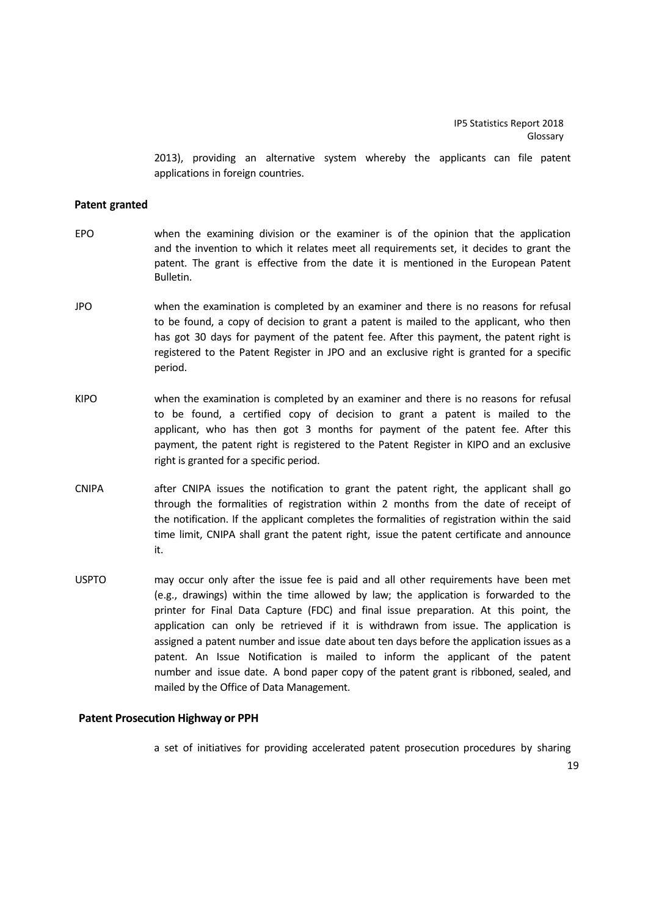2013), providing an alternative system whereby the applicants can file patent applications in foreign countries.

#### **Patent granted**

- EPO when the examining division or the examiner is of the opinion that the application and the invention to which it relates meet all requirements set, it decides to grant the patent. The grant is effective from the date it is mentioned in the European Patent Bulletin.
- JPO when the examination is completed by an examiner and there is no reasons for refusal to be found, a copy of decision to grant a patent is mailed to the applicant, who then has got 30 days for payment of the patent fee. After this payment, the patent right is registered to the Patent Register in JPO and an exclusive right is granted for a specific period.
- KIPO when the examination is completed by an examiner and there is no reasons for refusal to be found, a certified copy of decision to grant a patent is mailed to the applicant, who has then got 3 months for payment of the patent fee. After this payment, the patent right is registered to the Patent Register in KIPO and an exclusive right is granted for a specific period.
- CNIPA after CNIPA issues the notification to grant the patent right, the applicant shall go through the formalities of registration within 2 months from the date of receipt of the notification. If the applicant completes the formalities of registration within the said time limit, CNIPA shall grant the patent right, issue the patent certificate and announce it.
- USPTO may occur only after the issue fee is paid and all other requirements have been met (e.g., drawings) within the time allowed by law; the application is forwarded to the printer for Final Data Capture (FDC) and final issue preparation. At this point, the application can only be retrieved if it is withdrawn from issue. The application is assigned a patent number and issue date about ten days before the application issues as a patent. An Issue Notification is mailed to inform the applicant of the patent number and issue date. A bond paper copy of the patent grant is ribboned, sealed, and mailed by the Office of Data Management.

# **Patent Prosecution Highway or PPH**

a set of initiatives for providing accelerated patent prosecution procedures by sharing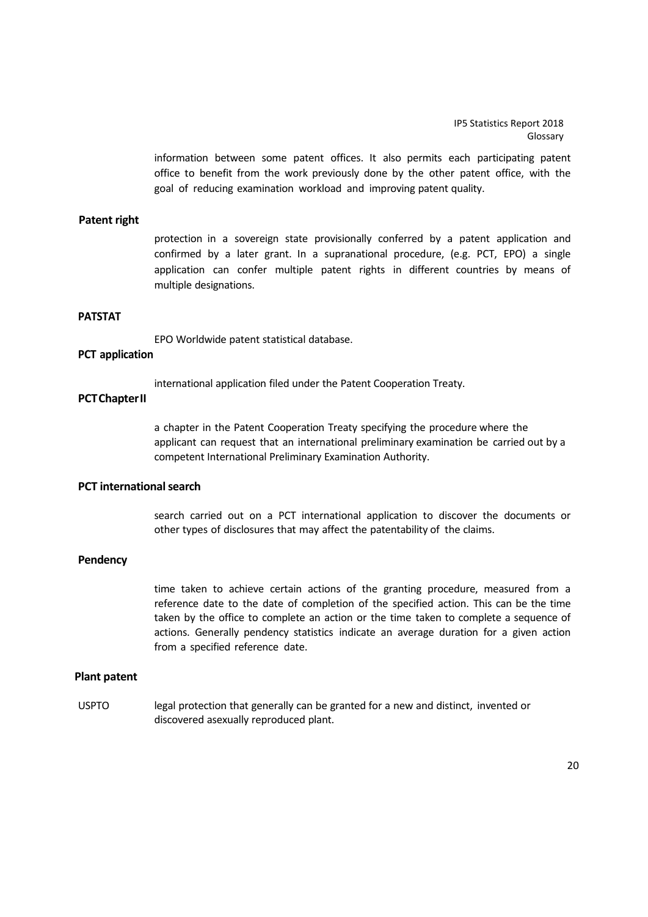information between some patent offices. It also permits each participating patent office to benefit from the work previously done by the other patent office, with the goal of reducing examination workload and improving patent quality.

#### **Patent right**

protection in a sovereign state provisionally conferred by a patent application and confirmed by a later grant. In a supranational procedure, (e.g. PCT, EPO) a single application can confer multiple patent rights in different countries by means of multiple designations.

## **PATSTAT**

EPO Worldwide patent statistical database.

# **PCT application**

international application filed under the Patent Cooperation Treaty.

# **PCTChapterII**

a chapter in the Patent Cooperation Treaty specifying the procedure where the applicant can request that an international preliminary examination be carried out by a competent International Preliminary Examination Authority.

# **PCT internationalsearch**

search carried out on a PCT international application to discover the documents or other types of disclosures that may affect the patentability of the claims.

## **Pendency**

time taken to achieve certain actions of the granting procedure, measured from a reference date to the date of completion of the specified action. This can be the time taken by the office to complete an action or the time taken to complete a sequence of actions. Generally pendency statistics indicate an average duration for a given action from a specified reference date.

# **Plant patent**

USPTO legal protection that generally can be granted for a new and distinct, invented or discovered asexually reproduced plant.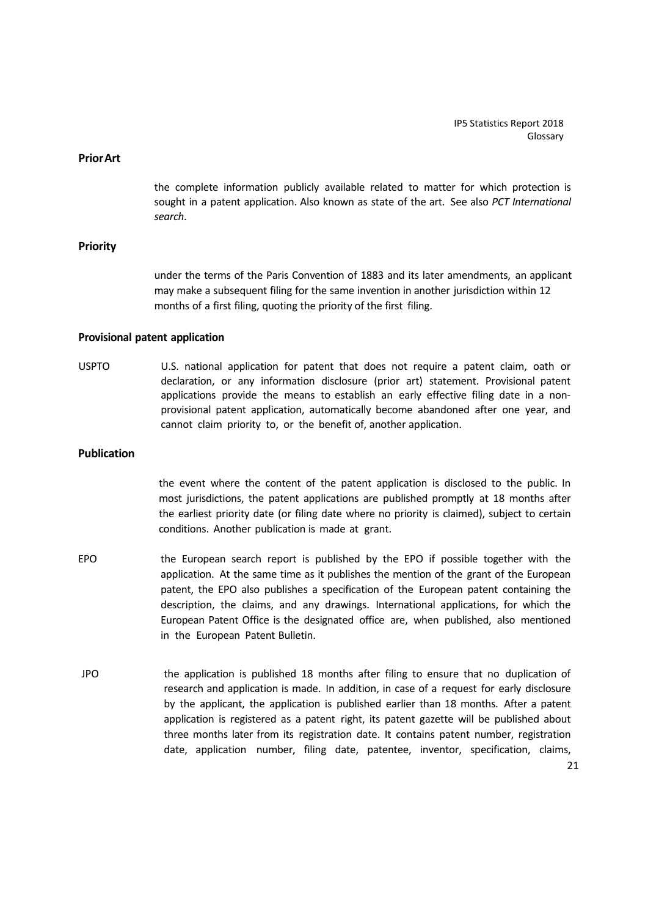#### **PriorArt**

the complete information publicly available related to matter for which protection is sought in a patent application. Also known as state of the art. See also *PCT International search*.

# **Priority**

under the terms of the Paris Convention of 1883 and its later amendments, an applicant may make a subsequent filing for the same invention in another jurisdiction within 12 months of a first filing, quoting the priority of the first filing.

#### **Provisional patent application**

USPTO U.S. national application for patent that does not require a patent claim, oath or declaration, or any information disclosure (prior art) statement. Provisional patent applications provide the means to establish an early effective filing date in a non‐ provisional patent application, automatically become abandoned after one year, and cannot claim priority to, or the benefit of, another application.

# **Publication**

the event where the content of the patent application is disclosed to the public. In most jurisdictions, the patent applications are published promptly at 18 months after the earliest priority date (or filing date where no priority is claimed), subject to certain conditions. Another publication is made at grant.

- EPO the European search report is published by the EPO if possible together with the application. At the same time as it publishes the mention of the grant of the European patent, the EPO also publishes a specification of the European patent containing the description, the claims, and any drawings. International applications, for which the European Patent Office is the designated office are, when published, also mentioned in the European Patent Bulletin.
- JPO the application is published 18 months after filing to ensure that no duplication of research and application is made. In addition, in case of a request for early disclosure by the applicant, the application is published earlier than 18 months. After a patent application is registered as a patent right, its patent gazette will be published about three months later from its registration date. It contains patent number, registration date, application number, filing date, patentee, inventor, specification, claims,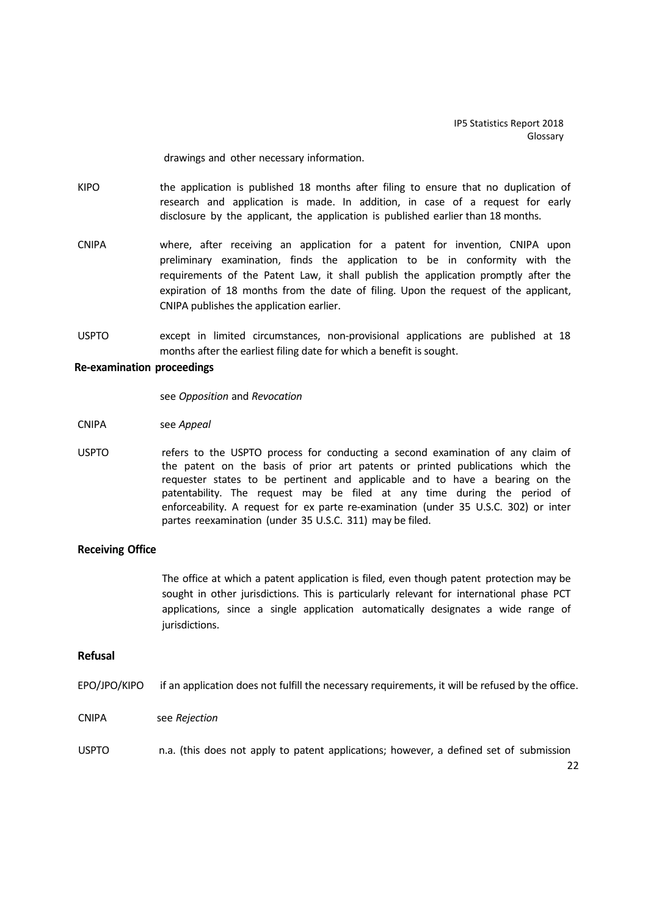drawings and other necessary information.

- KIPO the application is published 18 months after filing to ensure that no duplication of research and application is made. In addition, in case of a request for early disclosure by the applicant, the application is published earlier than 18 months.
- CNIPA where, after receiving an application for a patent for invention, CNIPA upon preliminary examination, finds the application to be in conformity with the requirements of the Patent Law, it shall publish the application promptly after the expiration of 18 months from the date of filing. Upon the request of the applicant, CNIPA publishes the application earlier.
- USPTO except in limited circumstances, non‐provisional applications are published at 18 months after the earliest filing date for which a benefit is sought.

#### **Re‐examination proceedings**

see *Opposition* and *Revocation*

- CNIPA see *Appeal*
- USPTO refers to the USPTO process for conducting a second examination of any claim of the patent on the basis of prior art patents or printed publications which the requester states to be pertinent and applicable and to have a bearing on the patentability. The request may be filed at any time during the period of enforceability. A request for ex parte re‐examination (under 35 U.S.C. 302) or inter partes reexamination (under 35 U.S.C. 311) may be filed.

#### **Receiving Office**

The office at which a patent application is filed, even though patent protection may be sought in other jurisdictions. This is particularly relevant for international phase PCT applications, since a single application automatically designates a wide range of jurisdictions.

# **Refusal**

EPO/JPO/KIPO if an application does not fulfill the necessary requirements, it will be refused by the office.

CNIPA see *Rejection*

USPTO n.a. (this does not apply to patent applications; however, a defined set of submission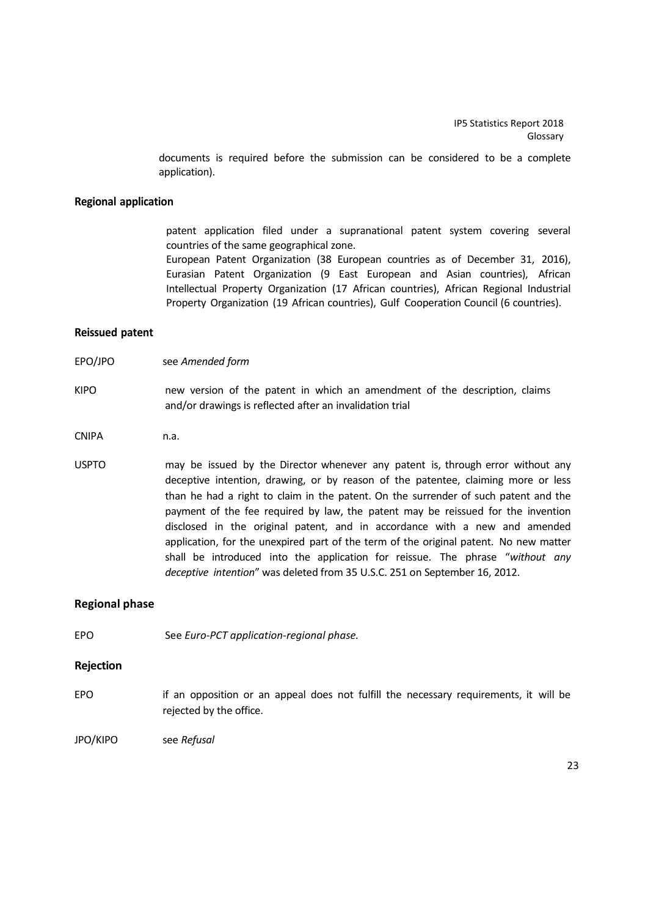documents is required before the submission can be considered to be a complete application).

#### **Regional application**

patent application filed under a supranational patent system covering several countries of the same geographical zone.

European Patent Organization (38 European countries as of December 31, 2016), Eurasian Patent Organization (9 East European and Asian countries), African Intellectual Property Organization (17 African countries), African Regional Industrial Property Organization (19 African countries), Gulf Cooperation Council (6 countries).

#### **Reissued patent**

- EPO/JPO see *Amended form*
- KIPO new version of the patent in which an amendment of the description, claims and/or drawings is reflected after an invalidation trial
- CNIPA n.a.
- USPTO may be issued by the Director whenever any patent is, through error without any deceptive intention, drawing, or by reason of the patentee, claiming more or less than he had a right to claim in the patent. On the surrender of such patent and the payment of the fee required by law, the patent may be reissued for the invention disclosed in the original patent, and in accordance with a new and amended application, for the unexpired part of the term of the original patent. No new matter shall be introduced into the application for reissue. The phrase "*without any deceptive intention*" was deleted from 35 U.S.C. 251 on September 16, 2012.

#### **Regional phase**

EPO See *Euro‐PCT application‐regional phase.*

#### **Rejection**

- EPO if an opposition or an appeal does not fulfill the necessary requirements, it will be rejected by the office.
- JPO/KIPO see *Refusal*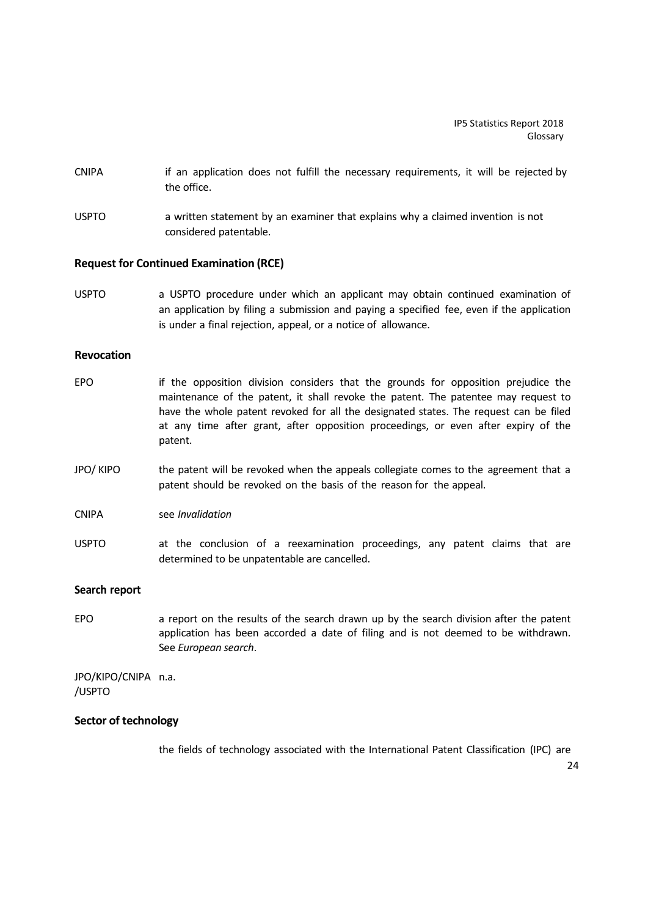- CNIPA if an application does not fulfill the necessary requirements, it will be rejected by the office.
- USPTO a written statement by an examiner that explains why a claimed invention is not considered patentable.

#### **Request for Continued Examination (RCE)**

USPTO a USPTO procedure under which an applicant may obtain continued examination of an application by filing a submission and paying a specified fee, even if the application is under a final rejection, appeal, or a notice of allowance.

## **Revocation**

- EPO if the opposition division considers that the grounds for opposition prejudice the maintenance of the patent, it shall revoke the patent. The patentee may request to have the whole patent revoked for all the designated states. The request can be filed at any time after grant, after opposition proceedings, or even after expiry of the patent.
- JPO/ KIPO the patent will be revoked when the appeals collegiate comes to the agreement that a patent should be revoked on the basis of the reason for the appeal.
- CNIPA see *Invalidation*
- USPTO at the conclusion of a reexamination proceedings, any patent claims that are determined to be unpatentable are cancelled.

## **Search report**

EPO a report on the results of the search drawn up by the search division after the patent application has been accorded a date of filing and is not deemed to be withdrawn. See *European search*.

JPO/KIPO/CNIPA n.a. /USPTO

## **Sector of technology**

the fields of technology associated with the International Patent Classification (IPC) are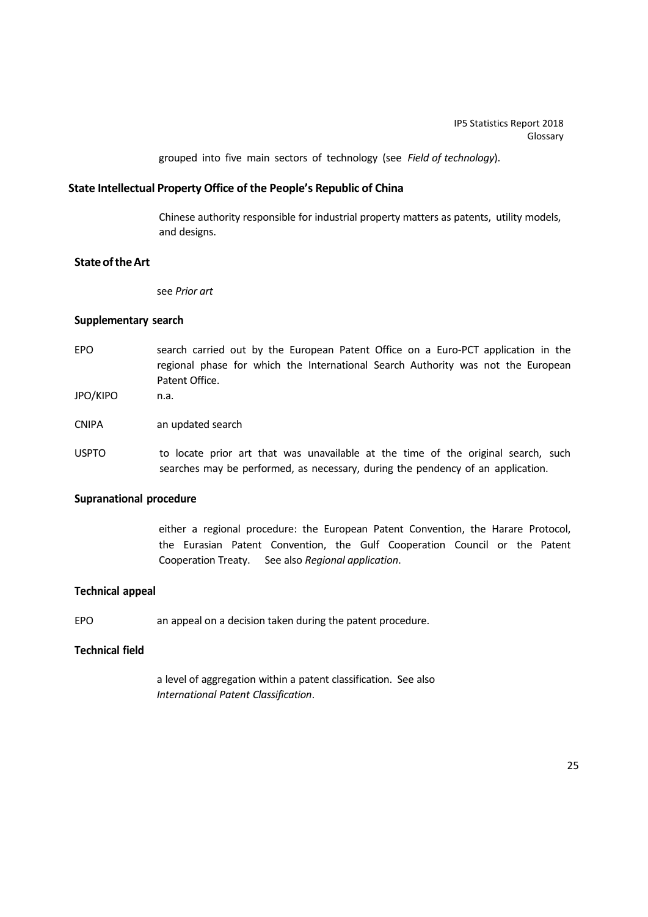grouped into five main sectors of technology (see *Field of technology*).

# **State Intellectual Property Office of the People's Republic of China**

Chinese authority responsible for industrial property matters as patents, utility models, and designs.

# **State of the Art**

see *Prior art*

## **Supplementary search**

- EPO search carried out by the European Patent Office on a Euro-PCT application in the regional phase for which the International Search Authority was not the European Patent Office.
- JPO/KIPO n.a.
- CNIPA an updated search
- USPTO to locate prior art that was unavailable at the time of the original search, such searches may be performed, as necessary, during the pendency of an application.

# **Supranational procedure**

either a regional procedure: the European Patent Convention, the Harare Protocol, the Eurasian Patent Convention, the Gulf Cooperation Council or the Patent Cooperation Treaty. See also *Regional application*.

# **Technical appeal**

EPO an appeal on a decision taken during the patent procedure.

# **Technical field**

a level of aggregation within a patent classification. See also *International Patent Classification*.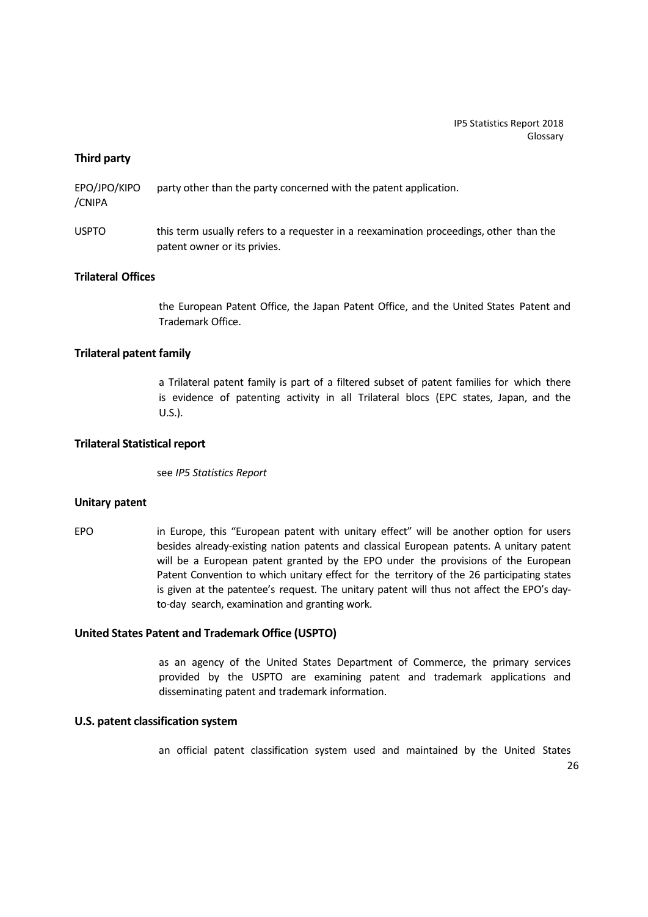## **Third party**

EPO/JPO/KIPO party other than the party concerned with the patent application. /CNIPA

USPTO this term usually refers to a requester in a reexamination proceedings, other than the patent owner or its privies.

## **Trilateral Offices**

the European Patent Office, the Japan Patent Office, and the United States Patent and Trademark Office.

# **Trilateral patent family**

a Trilateral patent family is part of a filtered subset of patent families for which there is evidence of patenting activity in all Trilateral blocs (EPC states, Japan, and the U.S.).

## **Trilateral Statistical report**

see *IP5 Statistics Report*

## **Unitary patent**

EPO in Europe, this "European patent with unitary effect" will be another option for users besides already‐existing nation patents and classical European patents. A unitary patent will be a European patent granted by the EPO under the provisions of the European Patent Convention to which unitary effect for the territory of the 26 participating states is given at the patentee's request. The unitary patent will thus not affect the EPO's day‐ to‐day search, examination and granting work.

## **United States Patent and Trademark Office (USPTO)**

as an agency of the United States Department of Commerce, the primary services provided by the USPTO are examining patent and trademark applications and disseminating patent and trademark information.

## **U.S. patent classification system**

an official patent classification system used and maintained by the United States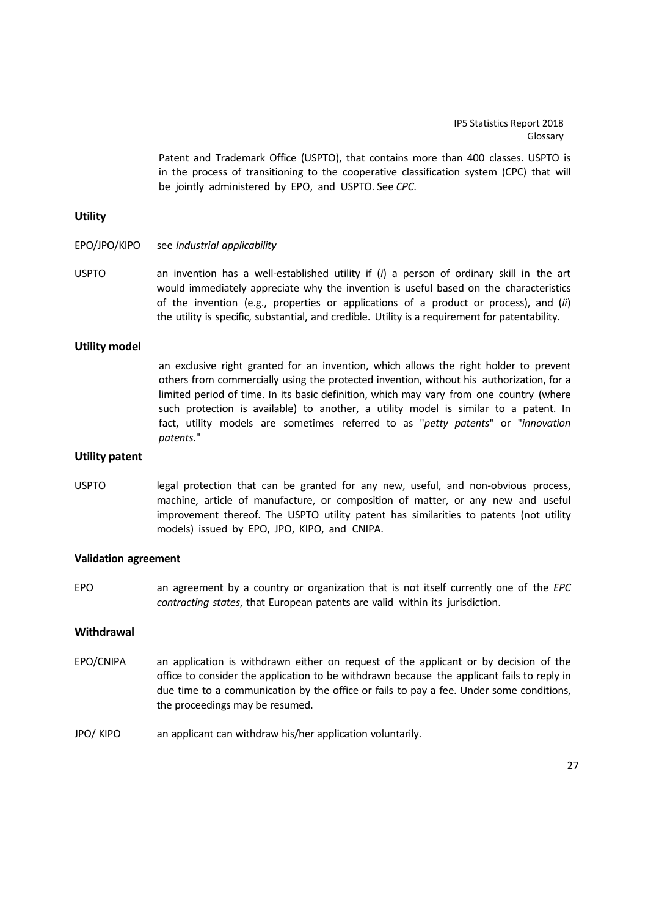Patent and Trademark Office (USPTO), that contains more than 400 classes. USPTO is in the process of transitioning to the cooperative classification system (CPC) that will be jointly administered by EPO, and USPTO. See *CPC*.

## **Utility**

- EPO/JPO/KIPO see *Industrial applicability*
- USPTO an invention has a well‐established utility if (*i*) a person of ordinary skill in the art would immediately appreciate why the invention is useful based on the characteristics of the invention (e.g., properties or applications of a product or process), and (*ii*) the utility is specific, substantial, and credible. Utility is a requirement for patentability.

## **Utility model**

an exclusive right granted for an invention, which allows the right holder to prevent others from commercially using the protected invention, without his authorization, for a limited period of time. In its basic definition, which may vary from one country (where such protection is available) to another, a utility model is similar to a patent. In fact, utility models are sometimes referred to as "*petty patents*" or "*innovation patents*."

#### **Utility patent**

USPTO legal protection that can be granted for any new, useful, and non-obvious process, machine, article of manufacture, or composition of matter, or any new and useful improvement thereof. The USPTO utility patent has similarities to patents (not utility models) issued by EPO, JPO, KIPO, and CNIPA.

#### **Validation agreement**

EPO an agreement by a country or organization that is not itself currently one of the *EPC contracting states*, that European patents are valid within its jurisdiction.

## **Withdrawal**

- EPO/CNIPA an application is withdrawn either on request of the applicant or by decision of the office to consider the application to be withdrawn because the applicant fails to reply in due time to a communication by the office or fails to pay a fee. Under some conditions, the proceedings may be resumed.
- JPO/ KIPO an applicant can withdraw his/her application voluntarily.